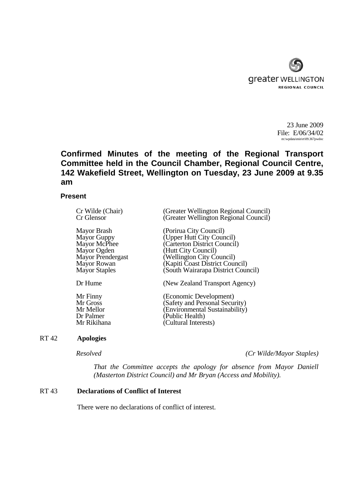

23 June 2009 File: E/06/34/02 m:\wpdata\min\rt\09.367pwdoc

# **Confirmed Minutes of the meeting of the Regional Transport Committee held in the Council Chamber, Regional Council Centre, 142 Wakefield Street, Wellington on Tuesday, 23 June 2009 at 9.35 am**

# **Present**

| (Greater Wellington Regional Council)<br>(Greater Wellington Regional Council)                                                                                                                                   |
|------------------------------------------------------------------------------------------------------------------------------------------------------------------------------------------------------------------|
| (Porirua City Council)<br>(Upper Hutt City Council)<br>(Carterton District Council)<br>(Hutt City Council)<br>(Wellington City Council)<br>(Kapiti Coast District Council)<br>(South Wairarapa District Council) |
| (New Zealand Transport Agency)                                                                                                                                                                                   |
| (Economic Development)<br>Safety and Personal Security)<br>(Environmental Sustainability)<br>(Public Health)<br>Cultural Interests)                                                                              |
|                                                                                                                                                                                                                  |

# RT 42 **Apologies**

*Resolved (Cr Wilde/Mayor Staples)*

*That the Committee accepts the apology for absence from Mayor Daniell (Masterton District Council) and Mr Bryan (Access and Mobility).* 

# RT 43 **Declarations of Conflict of Interest**

There were no declarations of conflict of interest.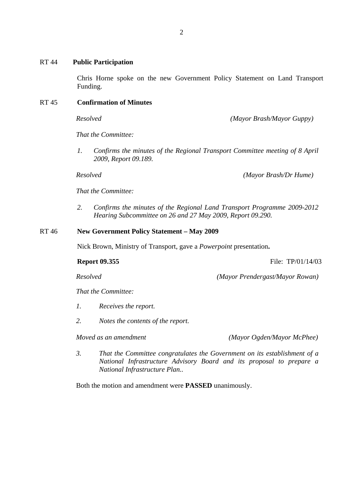Chris Horne spoke on the new Government Policy Statement on Land Transport Funding.

# RT 45 **Confirmation of Minutes**

*Resolved (Mayor Brash/Mayor Guppy)*

*That the Committee:*

*1. Confirms the minutes of the Regional Transport Committee meeting of 8 April 2009, Report 09.189.*

*Resolved (Mayor Brash/Dr Hume)*

*That the Committee:*

*2. Confirms the minutes of the Regional Land Transport Programme 2009-2012 Hearing Subcommittee on 26 and 27 May 2009, Report 09.290.* 

### RT 46 **New Government Policy Statement – May 2009**

Nick Brown, Ministry of Transport, gave a *Powerpoint* presentation**.**

**Report 09.355** File: TP/01/14/03

*Resolved (Mayor Prendergast/Mayor Rowan)*

*That the Committee:*

- *1. Receives the report.*
- *2. Notes the contents of the report.*

*Moved as an amendment (Mayor Ogden/Mayor McPhee)* 

*3. That the Committee congratulates the Government on its establishment of a National Infrastructure Advisory Board and its proposal to prepare a National Infrastructure Plan..* 

Both the motion and amendment were **PASSED** unanimously.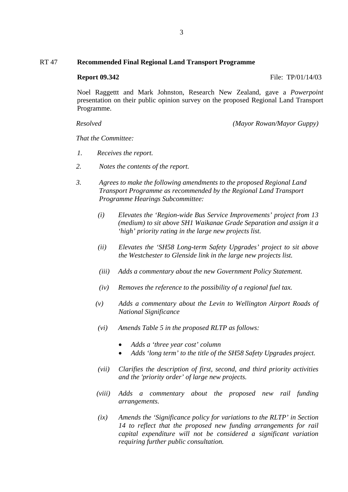# RT 47 **Recommended Final Regional Land Transport Programme**

**Report 09.342** File: TP/01/14/03

Noel Raggettt and Mark Johnston, Research New Zealand, gave a *Powerpoint* presentation on their public opinion survey on the proposed Regional Land Transport Programme.

*Resolved (Mayor Rowan/Mayor Guppy)*

*That the Committee:*

- *1. Receives the report.*
- *2. Notes the contents of the report.*
- *3. Agrees to make the following amendments to the proposed Regional Land Transport Programme as recommended by the Regional Land Transport Programme Hearings Subcommittee:* 
	- *(i) Elevates the 'Region-wide Bus Service Improvements' project from 13 (medium) to sit above SH1 Waikanae Grade Separation and assign it a 'high' priority rating in the large new projects list.*
	- *(ii) Elevates the 'SH58 Long-term Safety Upgrades' project to sit above the Westchester to Glenside link in the large new projects list.*
	- *(iii) Adds a commentary about the new Government Policy Statement.*
	- *(iv) Removes the reference to the possibility of a regional fuel tax.*
	- *(v) Adds a commentary about the Levin to Wellington Airport Roads of National Significance*
	- *(vi) Amends Table 5 in the proposed RLTP as follows:* 
		- *Adds a 'three year cost' column*
		- *Adds 'long term' to the title of the SH58 Safety Upgrades project.*
	- *(vii) Clarifies the description of first, second, and third priority activities and the 'priority order' of large new projects.*
	- *(viii) Adds a commentary about the proposed new rail funding arrangements.*
	- *(ix) Amends the 'Significance policy for variations to the RLTP' in Section 14 to reflect that the proposed new funding arrangements for rail capital expenditure will not be considered a significant variation requiring further public consultation.*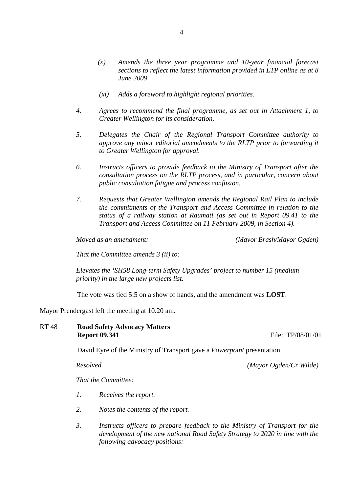- *(x) Amends the three year programme and 10-year financial forecast sections to reflect the latest information provided in LTP online as at 8 June 2009.*
- *(xi) Adds a foreword to highlight regional priorities.*
- *4. Agrees to recommend the final programme, as set out in Attachment 1, to Greater Wellington for its consideration.*
- *5. Delegates the Chair of the Regional Transport Committee authority to approve any minor editorial amendments to the RLTP prior to forwarding it to Greater Wellington for approval.*
- *6. Instructs officers to provide feedback to the Ministry of Transport after the consultation process on the RLTP process, and in particular, concern about public consultation fatigue and process confusion.*
- *7. Requests that Greater Wellington amends the Regional Rail Plan to include the commitments of the Transport and Access Committee in relation to the status of a railway station at Raumati (as set out in Report 09.41 to the Transport and Access Committee on 11 February 2009, in Section 4).*

*Moved as an amendment: (Mayor Brash/Mayor Ogden)*

*That the Committee amends 3 (ii) to:* 

*Elevates the 'SH58 Long-term Safety Upgrades' project to number 15 (medium priority) in the large new projects list.* 

The vote was tied 5:5 on a show of hands, and the amendment was **LOST**.

Mayor Prendergast left the meeting at 10.20 am.

RT 48 **Road Safety Advocacy Matters Report 09.341** File: TP/08/01/01

David Eyre of the Ministry of Transport gave a *Powerpoint* presentation.

*Resolved (Mayor Ogden/Cr Wilde)*

*That the Committee:*

- *1. Receives the report.*
- *2. Notes the contents of the report.*
- *3. Instructs officers to prepare feedback to the Ministry of Transport for the development of the new national Road Safety Strategy to 2020 in line with the following advocacy positions:*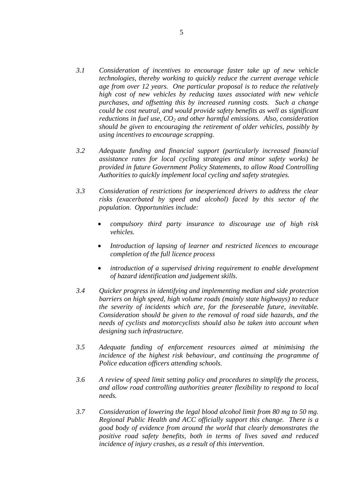- *3.1 Consideration of incentives to encourage faster take up of new vehicle technologies, thereby working to quickly reduce the current average vehicle age from over 12 years. One particular proposal is to reduce the relatively high cost of new vehicles by reducing taxes associated with new vehicle purchases, and offsetting this by increased running costs. Such a change could be cost neutral, and would provide safety benefits as well as significant reductions in fuel use, CO<sub>2</sub> and other harmful emissions. Also, consideration should be given to encouraging the retirement of older vehicles, possibly by using incentives to encourage scrapping.*
- *3.2 Adequate funding and financial support (particularly increased financial assistance rates for local cycling strategies and minor safety works) be provided in future Government Policy Statements, to allow Road Controlling Authorities to quickly implement local cycling and safety strategies.*
- *3.3 Consideration of restrictions for inexperienced drivers to address the clear risks (exacerbated by speed and alcohol) faced by this sector of the population. Opportunities include:* 
	- *compulsory third party insurance to discourage use of high risk vehicles.*
	- *Introduction of lapsing of learner and restricted licences to encourage completion of the full licence process*
	- *introduction of a supervised driving requirement to enable development of hazard identification and judgement skills.*
- *3.4 Quicker progress in identifying and implementing median and side protection barriers on high speed, high volume roads (mainly state highways) to reduce the severity of incidents which are, for the foreseeable future, inevitable. Consideration should be given to the removal of road side hazards, and the needs of cyclists and motorcyclists should also be taken into account when designing such infrastructure.*
- *3.5 Adequate funding of enforcement resources aimed at minimising the incidence of the highest risk behaviour, and continuing the programme of Police education officers attending schools.*
- *3.6 A review of speed limit setting policy and procedures to simplify the process, and allow road controlling authorities greater flexibility to respond to local needs.*
- *3.7 Consideration of lowering the legal blood alcohol limit from 80 mg to 50 mg. Regional Public Health and ACC officially support this change. There is a good body of evidence from around the world that clearly demonstrates the positive road safety benefits, both in terms of lives saved and reduced incidence of injury crashes, as a result of this intervention.*